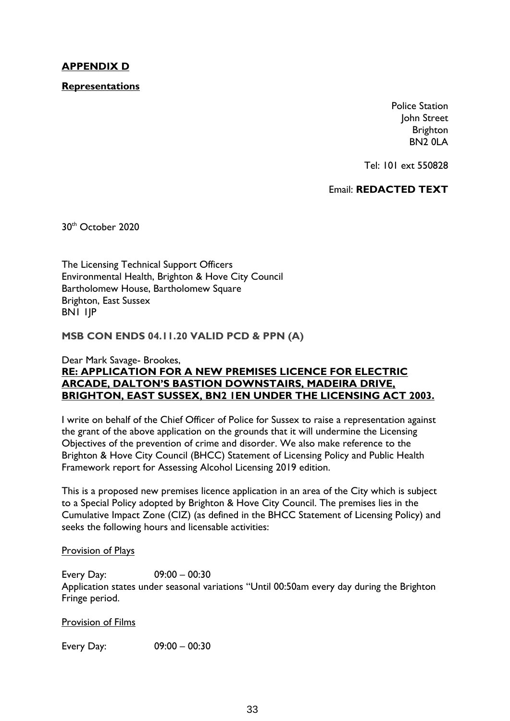## **APPENDIX D**

**Representations**

Police Station John Street Brighton BN2 0LA

Tel: 101 ext 550828

Email: **REDACTED TEXT**

30th October 2020

The Licensing Technical Support Officers Environmental Health, Brighton & Hove City Council Bartholomew House, Bartholomew Square Brighton, East Sussex BN1 1JP

**MSB CON ENDS 04.11.20 VALID PCD & PPN (A)**

#### Dear Mark Savage- Brookes, **RE: APPLICATION FOR A NEW PREMISES LICENCE FOR ELECTRIC ARCADE, DALTON'S BASTION DOWNSTAIRS, MADEIRA DRIVE, BRIGHTON, EAST SUSSEX, BN2 1EN UNDER THE LICENSING ACT 2003.**

I write on behalf of the Chief Officer of Police for Sussex to raise a representation against the grant of the above application on the grounds that it will undermine the Licensing Objectives of the prevention of crime and disorder. We also make reference to the Brighton & Hove City Council (BHCC) Statement of Licensing Policy and Public Health Framework report for Assessing Alcohol Licensing 2019 edition.

This is a proposed new premises licence application in an area of the City which is subject to a Special Policy adopted by Brighton & Hove City Council. The premises lies in the Cumulative Impact Zone (CIZ) (as defined in the BHCC Statement of Licensing Policy) and seeks the following hours and licensable activities:

#### Provision of Plays

Every Day: 09:00 – 00:30 Application states under seasonal variations "Until 00:50am every day during the Brighton Fringe period.

Provision of Films

Every Day: 09:00 – 00:30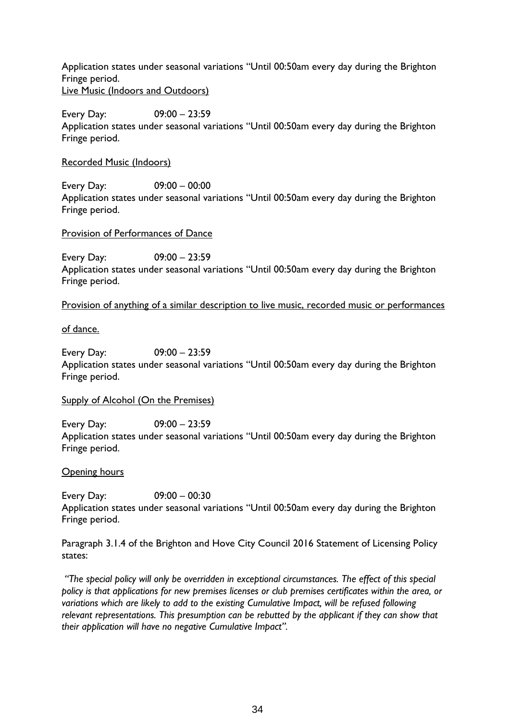Application states under seasonal variations "Until 00:50am every day during the Brighton Fringe period. Live Music (Indoors and Outdoors)

Every Day: 09:00 – 23:59 Application states under seasonal variations "Until 00:50am every day during the Brighton Fringe period.

Recorded Music (Indoors)

Every Day: 09:00 – 00:00 Application states under seasonal variations "Until 00:50am every day during the Brighton Fringe period.

### Provision of Performances of Dance

Every Day: 09:00 – 23:59 Application states under seasonal variations "Until 00:50am every day during the Brighton Fringe period.

Provision of anything of a similar description to live music, recorded music or performances

of dance.

Every Day: 09:00 – 23:59 Application states under seasonal variations "Until 00:50am every day during the Brighton Fringe period.

Supply of Alcohol (On the Premises)

Every Day: 09:00 – 23:59 Application states under seasonal variations "Until 00:50am every day during the Brighton Fringe period.

Opening hours

Every Day: 09:00 – 00:30 Application states under seasonal variations "Until 00:50am every day during the Brighton Fringe period.

Paragraph 3.1.4 of the Brighton and Hove City Council 2016 Statement of Licensing Policy states:

*"The special policy will only be overridden in exceptional circumstances. The effect of this special policy is that applications for new premises licenses or club premises certificates within the area, or variations which are likely to add to the existing Cumulative Impact, will be refused following relevant representations. This presumption can be rebutted by the applicant if they can show that their application will have no negative Cumulative Impact".*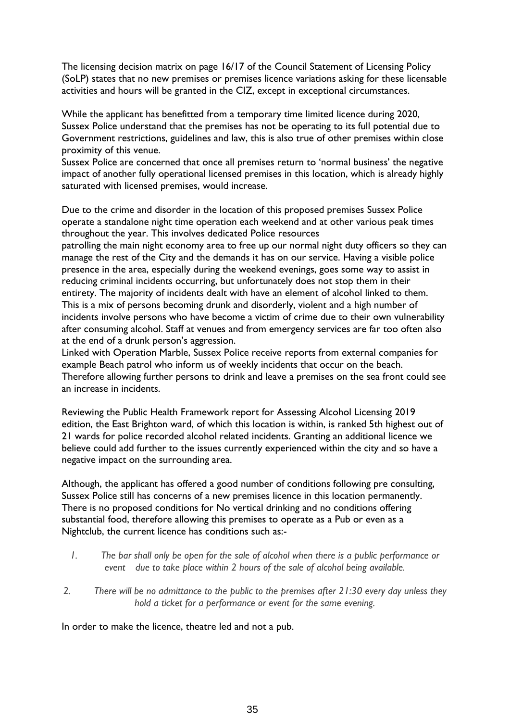The licensing decision matrix on page 16/17 of the Council Statement of Licensing Policy (SoLP) states that no new premises or premises licence variations asking for these licensable activities and hours will be granted in the CIZ, except in exceptional circumstances.

While the applicant has benefitted from a temporary time limited licence during 2020, Sussex Police understand that the premises has not be operating to its full potential due to Government restrictions, guidelines and law, this is also true of other premises within close proximity of this venue.

Sussex Police are concerned that once all premises return to 'normal business' the negative impact of another fully operational licensed premises in this location, which is already highly saturated with licensed premises, would increase.

Due to the crime and disorder in the location of this proposed premises Sussex Police operate a standalone night time operation each weekend and at other various peak times throughout the year. This involves dedicated Police resources

patrolling the main night economy area to free up our normal night duty officers so they can manage the rest of the City and the demands it has on our service. Having a visible police presence in the area, especially during the weekend evenings, goes some way to assist in reducing criminal incidents occurring, but unfortunately does not stop them in their entirety. The majority of incidents dealt with have an element of alcohol linked to them. This is a mix of persons becoming drunk and disorderly, violent and a high number of incidents involve persons who have become a victim of crime due to their own vulnerability after consuming alcohol. Staff at venues and from emergency services are far too often also at the end of a drunk person's aggression.

Linked with Operation Marble, Sussex Police receive reports from external companies for example Beach patrol who inform us of weekly incidents that occur on the beach. Therefore allowing further persons to drink and leave a premises on the sea front could see an increase in incidents.

Reviewing the Public Health Framework report for Assessing Alcohol Licensing 2019 edition, the East Brighton ward, of which this location is within, is ranked 5th highest out of 21 wards for police recorded alcohol related incidents. Granting an additional licence we believe could add further to the issues currently experienced within the city and so have a negative impact on the surrounding area.

Although, the applicant has offered a good number of conditions following pre consulting, Sussex Police still has concerns of a new premises licence in this location permanently. There is no proposed conditions for No vertical drinking and no conditions offering substantial food, therefore allowing this premises to operate as a Pub or even as a Nightclub, the current licence has conditions such as:-

- *1. The bar shall only be open for the sale of alcohol when there is a public performance or event due to take place within 2 hours of the sale of alcohol being available.*
- *2. There will be no admittance to the public to the premises after 21:30 every day unless they hold a ticket for a performance or event for the same evening.*

In order to make the licence, theatre led and not a pub.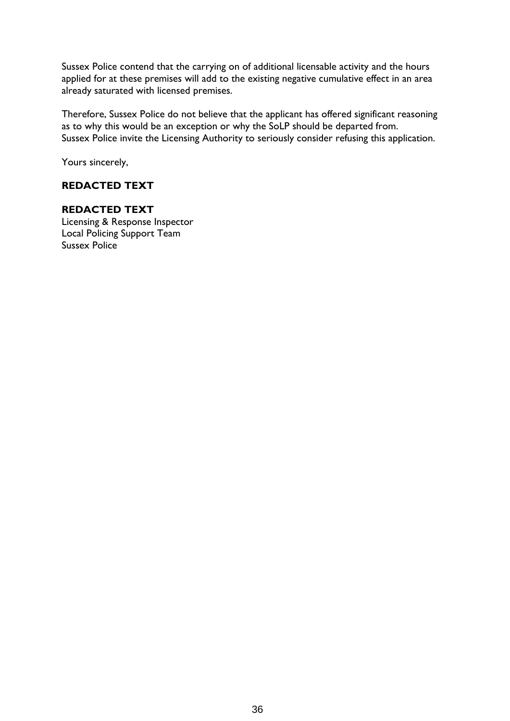Sussex Police contend that the carrying on of additional licensable activity and the hours applied for at these premises will add to the existing negative cumulative effect in an area already saturated with licensed premises.

Therefore, Sussex Police do not believe that the applicant has offered significant reasoning as to why this would be an exception or why the SoLP should be departed from. Sussex Police invite the Licensing Authority to seriously consider refusing this application.

Yours sincerely,

# **REDACTED TEXT**

## **REDACTED TEXT**

Licensing & Response Inspector Local Policing Support Team Sussex Police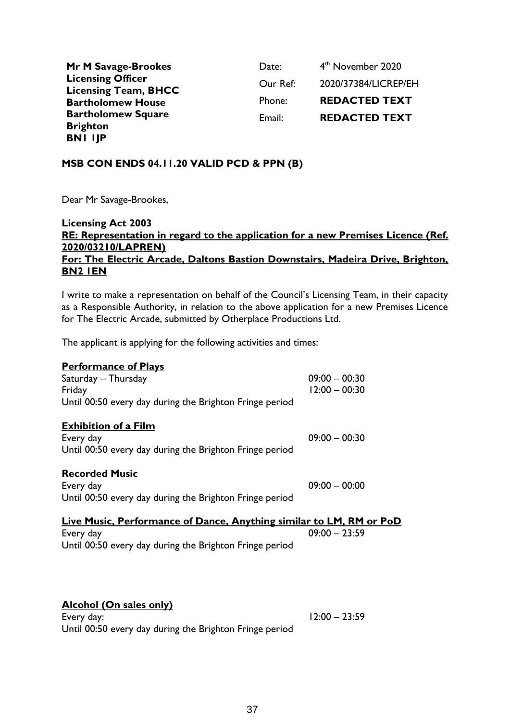| Mr M Savage-Brookes                                     | Date:    | 4 <sup>th</sup> November 2020 |
|---------------------------------------------------------|----------|-------------------------------|
| <b>Licensing Officer</b><br><b>Licensing Team, BHCC</b> | Our Ref: | 2020/37384/LICREP/EH          |
| <b>Bartholomew House</b>                                | Phone:   | <b>REDACTED TEXT</b>          |
| <b>Bartholomew Square</b>                               | Email:   | <b>REDACTED TEXT</b>          |
| <b>Brighton</b>                                         |          |                               |
| <b>BNI IJP</b>                                          |          |                               |

## **MSB CON ENDS 04.11.20 VALID PCD & PPN (B)**

Dear Mr Savage-Brookes,

## **Licensing Act 2003 RE: Representation in regard to the application for a new Premises Licence (Ref. 2020/03210/LAPREN) For: The Electric Arcade, Daltons Bastion Downstairs, Madeira Drive, Brighton, BN2 1EN**

I write to make a representation on behalf of the Council's Licensing Team, in their capacity as a Responsible Authority, in relation to the above application for a new Premises Licence for The Electric Arcade, submitted by Otherplace Productions Ltd.

The applicant is applying for the following activities and times:

## **Performance of Plays**

| Saturday - Thursday<br>Friday                                       | $09:00 - 00:30$<br>$12:00 - 00:30$ |
|---------------------------------------------------------------------|------------------------------------|
| Until 00:50 every day during the Brighton Fringe period             |                                    |
| <b>Exhibition of a Film</b>                                         |                                    |
| Every day                                                           | $09:00 - 00:30$                    |
| Until 00:50 every day during the Brighton Fringe period             |                                    |
| <b>Recorded Music</b>                                               |                                    |
| Every day                                                           | $09:00 - 00:00$                    |
| Until 00:50 every day during the Brighton Fringe period             |                                    |
| Live Music, Performance of Dance, Anything similar to LM, RM or PoD |                                    |
| Every day                                                           | $09:00 - 23:59$                    |
| Until 00:50 every day during the Brighton Fringe period             |                                    |
|                                                                     |                                    |

# **Alcohol (On sales only)**

Every day: 12:00 – 23:59 Until 00:50 every day during the Brighton Fringe period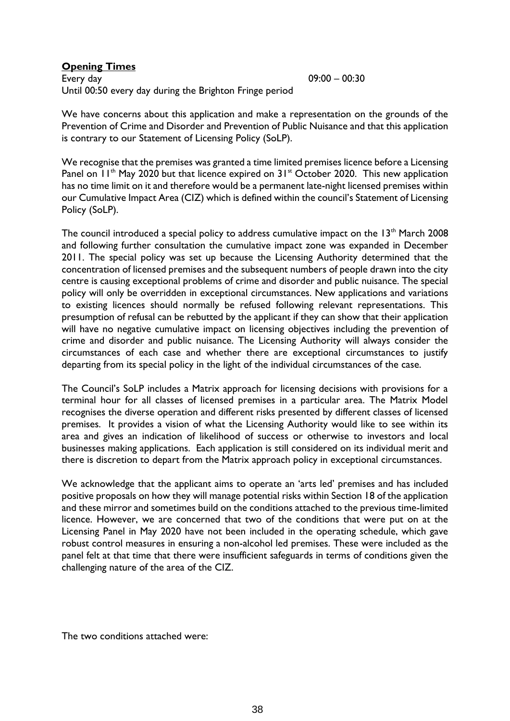#### **Opening Times**

Every day 09:00 – 00:30 Until 00:50 every day during the Brighton Fringe period

We have concerns about this application and make a representation on the grounds of the Prevention of Crime and Disorder and Prevention of Public Nuisance and that this application is contrary to our Statement of Licensing Policy (SoLP).

We recognise that the premises was granted a time limited premises licence before a Licensing Panel on  $11<sup>th</sup>$  May 2020 but that licence expired on  $31<sup>st</sup>$  October 2020. This new application has no time limit on it and therefore would be a permanent late-night licensed premises within our Cumulative Impact Area (CIZ) which is defined within the council's Statement of Licensing Policy (SoLP).

The council introduced a special policy to address cumulative impact on the  $13<sup>th</sup>$  March 2008 and following further consultation the cumulative impact zone was expanded in December 2011. The special policy was set up because the Licensing Authority determined that the concentration of licensed premises and the subsequent numbers of people drawn into the city centre is causing exceptional problems of crime and disorder and public nuisance. The special policy will only be overridden in exceptional circumstances. New applications and variations to existing licences should normally be refused following relevant representations. This presumption of refusal can be rebutted by the applicant if they can show that their application will have no negative cumulative impact on licensing objectives including the prevention of crime and disorder and public nuisance. The Licensing Authority will always consider the circumstances of each case and whether there are exceptional circumstances to justify departing from its special policy in the light of the individual circumstances of the case.

The Council's SoLP includes a Matrix approach for licensing decisions with provisions for a terminal hour for all classes of licensed premises in a particular area. The Matrix Model recognises the diverse operation and different risks presented by different classes of licensed premises. It provides a vision of what the Licensing Authority would like to see within its area and gives an indication of likelihood of success or otherwise to investors and local businesses making applications. Each application is still considered on its individual merit and there is discretion to depart from the Matrix approach policy in exceptional circumstances.

We acknowledge that the applicant aims to operate an 'arts led' premises and has included positive proposals on how they will manage potential risks within Section 18 of the application and these mirror and sometimes build on the conditions attached to the previous time-limited licence. However, we are concerned that two of the conditions that were put on at the Licensing Panel in May 2020 have not been included in the operating schedule, which gave robust control measures in ensuring a non-alcohol led premises. These were included as the panel felt at that time that there were insufficient safeguards in terms of conditions given the challenging nature of the area of the CIZ.

The two conditions attached were: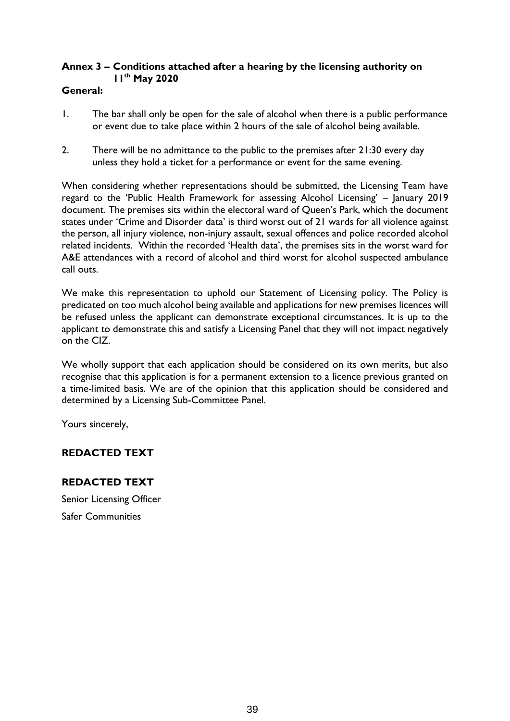# **Annex 3 – Conditions attached after a hearing by the licensing authority on 11th May 2020**

## **General:**

- 1. The bar shall only be open for the sale of alcohol when there is a public performance or event due to take place within 2 hours of the sale of alcohol being available.
- 2. There will be no admittance to the public to the premises after 21:30 every day unless they hold a ticket for a performance or event for the same evening.

When considering whether representations should be submitted, the Licensing Team have regard to the 'Public Health Framework for assessing Alcohol Licensing' – January 2019 document. The premises sits within the electoral ward of Queen's Park, which the document states under 'Crime and Disorder data' is third worst out of 21 wards for all violence against the person, all injury violence, non-injury assault, sexual offences and police recorded alcohol related incidents. Within the recorded 'Health data', the premises sits in the worst ward for A&E attendances with a record of alcohol and third worst for alcohol suspected ambulance call outs.

We make this representation to uphold our Statement of Licensing policy. The Policy is predicated on too much alcohol being available and applications for new premises licences will be refused unless the applicant can demonstrate exceptional circumstances. It is up to the applicant to demonstrate this and satisfy a Licensing Panel that they will not impact negatively on the CIZ.

We wholly support that each application should be considered on its own merits, but also recognise that this application is for a permanent extension to a licence previous granted on a time-limited basis. We are of the opinion that this application should be considered and determined by a Licensing Sub-Committee Panel.

Yours sincerely,

# **REDACTED TEXT**

# **REDACTED TEXT**

Senior Licensing Officer Safer Communities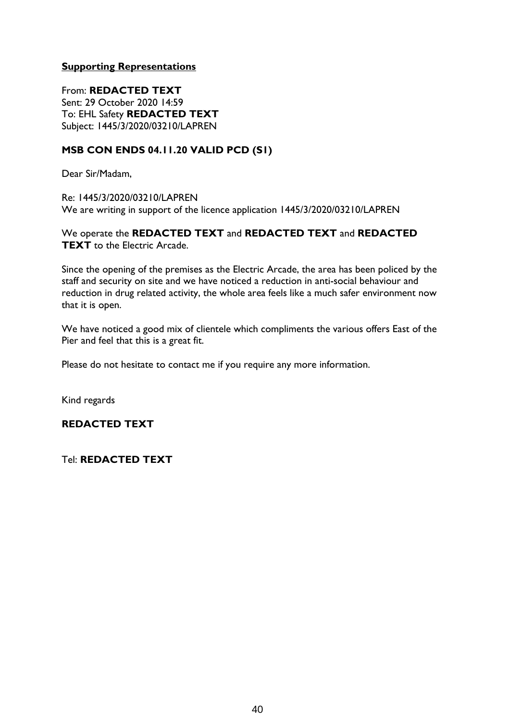## **Supporting Representations**

From: **REDACTED TEXT** Sent: 29 October 2020 14:59 To: EHL Safety **REDACTED TEXT** Subject: 1445/3/2020/03210/LAPREN

## **MSB CON ENDS 04.11.20 VALID PCD (S1)**

Dear Sir/Madam,

Re: 1445/3/2020/03210/LAPREN We are writing in support of the licence application 1445/3/2020/03210/LAPREN

We operate the **REDACTED TEXT** and **REDACTED TEXT** and **REDACTED TEXT** to the Electric Arcade.

Since the opening of the premises as the Electric Arcade, the area has been policed by the staff and security on site and we have noticed a reduction in anti-social behaviour and reduction in drug related activity, the whole area feels like a much safer environment now that it is open.

We have noticed a good mix of clientele which compliments the various offers East of the Pier and feel that this is a great fit.

Please do not hesitate to contact me if you require any more information.

Kind regards

## **REDACTED TEXT**

Tel: **REDACTED TEXT**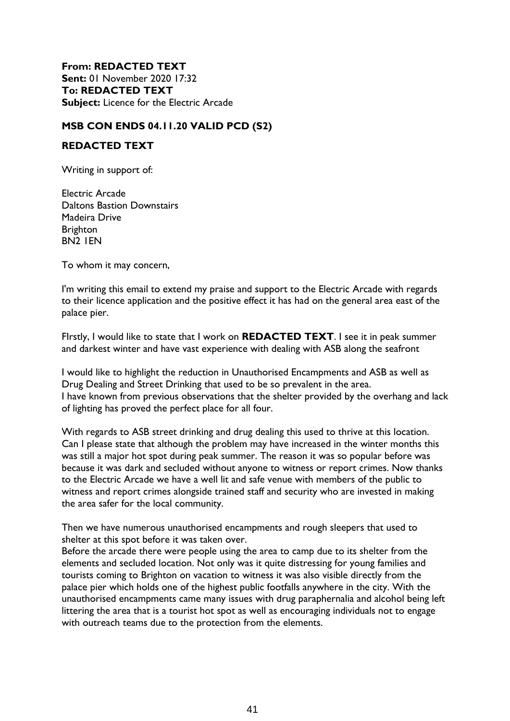**From: REDACTED TEXT Sent:** 01 November 2020 17:32 **To: REDACTED TEXT Subject:** Licence for the Electric Arcade

## **MSB CON ENDS 04.11.20 VALID PCD (S2)**

#### **REDACTED TEXT**

Writing in support of:

Electric Arcade Daltons Bastion Downstairs Madeira Drive Brighton BN2 1EN

To whom it may concern,

I'm writing this email to extend my praise and support to the Electric Arcade with regards to their licence application and the positive effect it has had on the general area east of the palace pier.

FIrstly, I would like to state that I work on **REDACTED TEXT**. I see it in peak summer and darkest winter and have vast experience with dealing with ASB along the seafront

I would like to highlight the reduction in Unauthorised Encampments and ASB as well as Drug Dealing and Street Drinking that used to be so prevalent in the area. I have known from previous observations that the shelter provided by the overhang and lack of lighting has proved the perfect place for all four.

With regards to ASB street drinking and drug dealing this used to thrive at this location. Can I please state that although the problem may have increased in the winter months this was still a major hot spot during peak summer. The reason it was so popular before was because it was dark and secluded without anyone to witness or report crimes. Now thanks to the Electric Arcade we have a well lit and safe venue with members of the public to witness and report crimes alongside trained staff and security who are invested in making the area safer for the local community.

Then we have numerous unauthorised encampments and rough sleepers that used to shelter at this spot before it was taken over.

Before the arcade there were people using the area to camp due to its shelter from the elements and secluded location. Not only was it quite distressing for young families and tourists coming to Brighton on vacation to witness it was also visible directly from the palace pier which holds one of the highest public footfalls anywhere in the city. With the unauthorised encampments came many issues with drug paraphernalia and alcohol being left littering the area that is a tourist hot spot as well as encouraging individuals not to engage with outreach teams due to the protection from the elements.